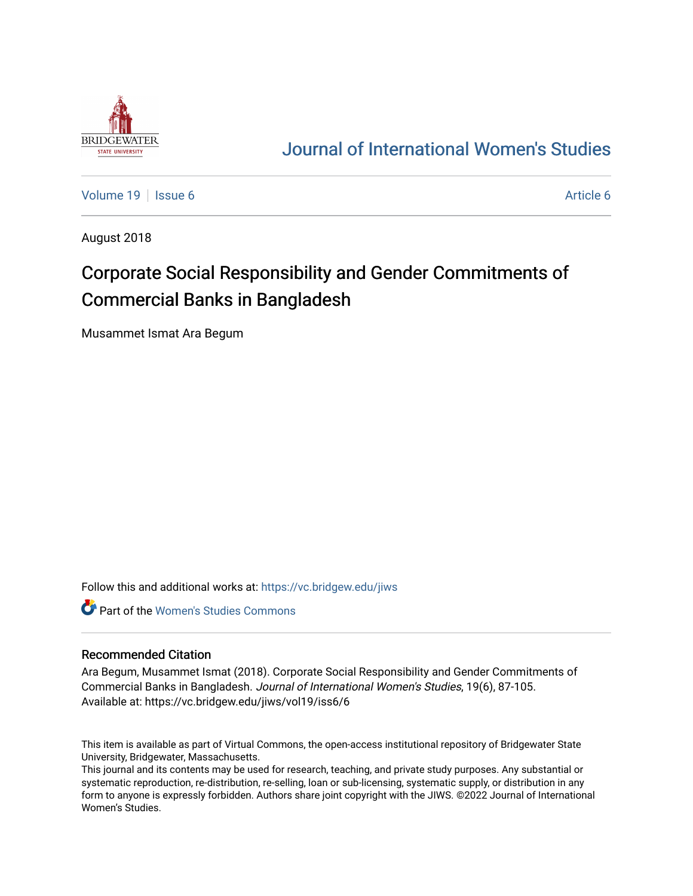

# [Journal of International Women's Studies](https://vc.bridgew.edu/jiws)

[Volume 19](https://vc.bridgew.edu/jiws/vol19) | [Issue 6](https://vc.bridgew.edu/jiws/vol19/iss6) [Article 6](https://vc.bridgew.edu/jiws/vol19/iss6/6) Article 6 Article 6 Article 6 Article 6 Article 6 Article 6 Article 6 Article 6

August 2018

# Corporate Social Responsibility and Gender Commitments of Commercial Banks in Bangladesh

Musammet Ismat Ara Begum

Follow this and additional works at: [https://vc.bridgew.edu/jiws](https://vc.bridgew.edu/jiws?utm_source=vc.bridgew.edu%2Fjiws%2Fvol19%2Fiss6%2F6&utm_medium=PDF&utm_campaign=PDFCoverPages)

**C** Part of the Women's Studies Commons

#### Recommended Citation

Ara Begum, Musammet Ismat (2018). Corporate Social Responsibility and Gender Commitments of Commercial Banks in Bangladesh. Journal of International Women's Studies, 19(6), 87-105. Available at: https://vc.bridgew.edu/jiws/vol19/iss6/6

This item is available as part of Virtual Commons, the open-access institutional repository of Bridgewater State University, Bridgewater, Massachusetts.

This journal and its contents may be used for research, teaching, and private study purposes. Any substantial or systematic reproduction, re-distribution, re-selling, loan or sub-licensing, systematic supply, or distribution in any form to anyone is expressly forbidden. Authors share joint copyright with the JIWS. ©2022 Journal of International Women's Studies.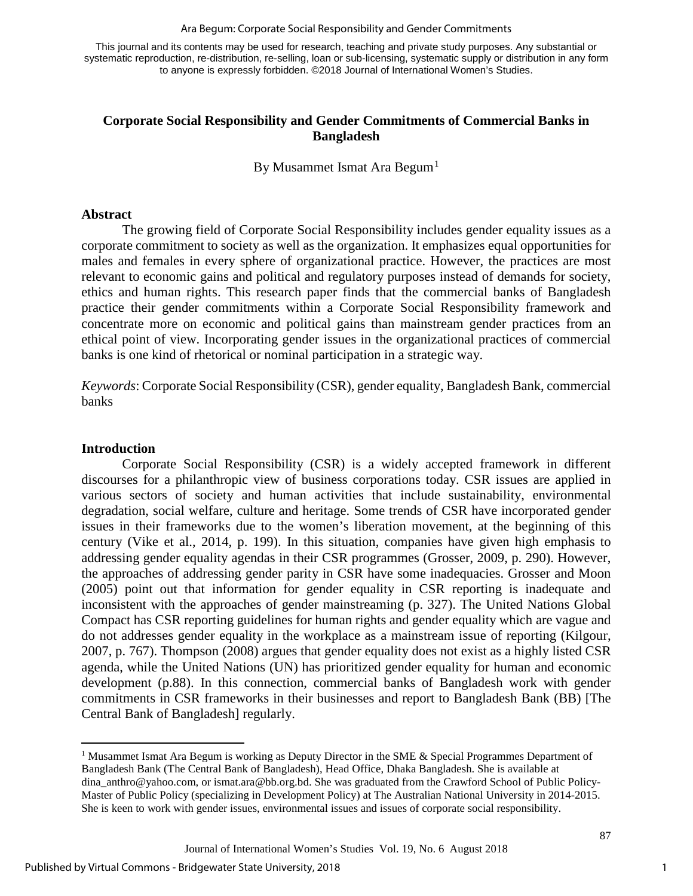#### Ara Begum: Corporate Social Responsibility and Gender Commitments

This journal and its contents may be used for research, teaching and private study purposes. Any substantial or systematic reproduction, re-distribution, re-selling, loan or sub-licensing, systematic supply or distribution in any form to anyone is expressly forbidden. ©2018 Journal of International Women's Studies.

# **Corporate Social Responsibility and Gender Commitments of Commercial Banks in Bangladesh**

By Musammet Ismat Ara Begum<sup>[1](#page-1-0)</sup>

#### **Abstract**

The growing field of Corporate Social Responsibility includes gender equality issues as a corporate commitment to society as well as the organization. It emphasizes equal opportunities for males and females in every sphere of organizational practice. However, the practices are most relevant to economic gains and political and regulatory purposes instead of demands for society, ethics and human rights. This research paper finds that the commercial banks of Bangladesh practice their gender commitments within a Corporate Social Responsibility framework and concentrate more on economic and political gains than mainstream gender practices from an ethical point of view. Incorporating gender issues in the organizational practices of commercial banks is one kind of rhetorical or nominal participation in a strategic way.

*Keywords*: Corporate Social Responsibility (CSR), gender equality, Bangladesh Bank, commercial banks

#### **Introduction**

 $\overline{a}$ 

Corporate Social Responsibility (CSR) is a widely accepted framework in different discourses for a philanthropic view of business corporations today. CSR issues are applied in various sectors of society and human activities that include sustainability, environmental degradation, social welfare, culture and heritage. Some trends of CSR have incorporated gender issues in their frameworks due to the women's liberation movement, at the beginning of this century (Vike et al., 2014, p. 199). In this situation, companies have given high emphasis to addressing gender equality agendas in their CSR programmes (Grosser, 2009, p. 290). However, the approaches of addressing gender parity in CSR have some inadequacies. Grosser and Moon (2005) point out that information for gender equality in CSR reporting is inadequate and inconsistent with the approaches of gender mainstreaming (p. 327). The United Nations Global Compact has CSR reporting guidelines for human rights and gender equality which are vague and do not addresses gender equality in the workplace as a mainstream issue of reporting (Kilgour, 2007, p. 767). Thompson (2008) argues that gender equality does not exist as a highly listed CSR agenda, while the United Nations (UN) has prioritized gender equality for human and economic development (p.88). In this connection, commercial banks of Bangladesh work with gender commitments in CSR frameworks in their businesses and report to Bangladesh Bank (BB) [The Central Bank of Bangladesh] regularly.

<span id="page-1-0"></span><sup>&</sup>lt;sup>1</sup> Musammet Ismat Ara Begum is working as Deputy Director in the SME & Special Programmes Department of Bangladesh Bank (The Central Bank of Bangladesh), Head Office, Dhaka Bangladesh. She is available at dina anthro@yahoo.com, or ismat.ara@bb.org.bd. She was graduated from the Crawford School of Public Policy-Master of Public Policy (specializing in Development Policy) at The Australian National University in 2014-2015. She is keen to work with gender issues, environmental issues and issues of corporate social responsibility.

Journal of International Women's Studies Vol. 19, No. 6 August 2018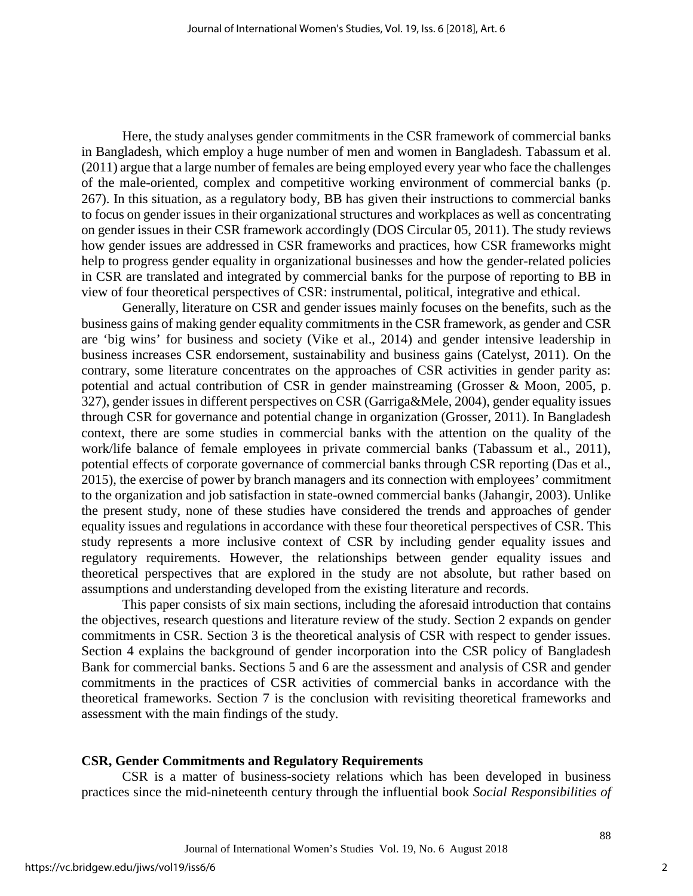Here, the study analyses gender commitments in the CSR framework of commercial banks in Bangladesh, which employ a huge number of men and women in Bangladesh. Tabassum et al. (2011) argue that a large number of females are being employed every year who face the challenges of the male-oriented, complex and competitive working environment of commercial banks (p. 267). In this situation, as a regulatory body, BB has given their instructions to commercial banks to focus on gender issues in their organizational structures and workplaces as well as concentrating on gender issues in their CSR framework accordingly (DOS Circular 05, 2011). The study reviews how gender issues are addressed in CSR frameworks and practices, how CSR frameworks might help to progress gender equality in organizational businesses and how the gender-related policies in CSR are translated and integrated by commercial banks for the purpose of reporting to BB in view of four theoretical perspectives of CSR: instrumental, political, integrative and ethical.

Generally, literature on CSR and gender issues mainly focuses on the benefits, such as the business gains of making gender equality commitments in the CSR framework, as gender and CSR are 'big wins' for business and society (Vike et al., 2014) and gender intensive leadership in business increases CSR endorsement, sustainability and business gains (Catelyst, 2011). On the contrary, some literature concentrates on the approaches of CSR activities in gender parity as: potential and actual contribution of CSR in gender mainstreaming (Grosser & Moon, 2005, p. 327), gender issues in different perspectives on CSR (Garriga&Mele, 2004), gender equality issues through CSR for governance and potential change in organization (Grosser, 2011). In Bangladesh context, there are some studies in commercial banks with the attention on the quality of the work/life balance of female employees in private commercial banks (Tabassum et al., 2011), potential effects of corporate governance of commercial banks through CSR reporting (Das et al., 2015), the exercise of power by branch managers and its connection with employees' commitment to the organization and job satisfaction in state-owned commercial banks (Jahangir, 2003). Unlike the present study, none of these studies have considered the trends and approaches of gender equality issues and regulations in accordance with these four theoretical perspectives of CSR. This study represents a more inclusive context of CSR by including gender equality issues and regulatory requirements. However, the relationships between gender equality issues and theoretical perspectives that are explored in the study are not absolute, but rather based on assumptions and understanding developed from the existing literature and records.

This paper consists of six main sections, including the aforesaid introduction that contains the objectives, research questions and literature review of the study. Section 2 expands on gender commitments in CSR. Section 3 is the theoretical analysis of CSR with respect to gender issues. Section 4 explains the background of gender incorporation into the CSR policy of Bangladesh Bank for commercial banks. Sections 5 and 6 are the assessment and analysis of CSR and gender commitments in the practices of CSR activities of commercial banks in accordance with the theoretical frameworks. Section 7 is the conclusion with revisiting theoretical frameworks and assessment with the main findings of the study.

#### **CSR, Gender Commitments and Regulatory Requirements**

CSR is a matter of business-society relations which has been developed in business practices since the mid-nineteenth century through the influential book *Social Responsibilities of*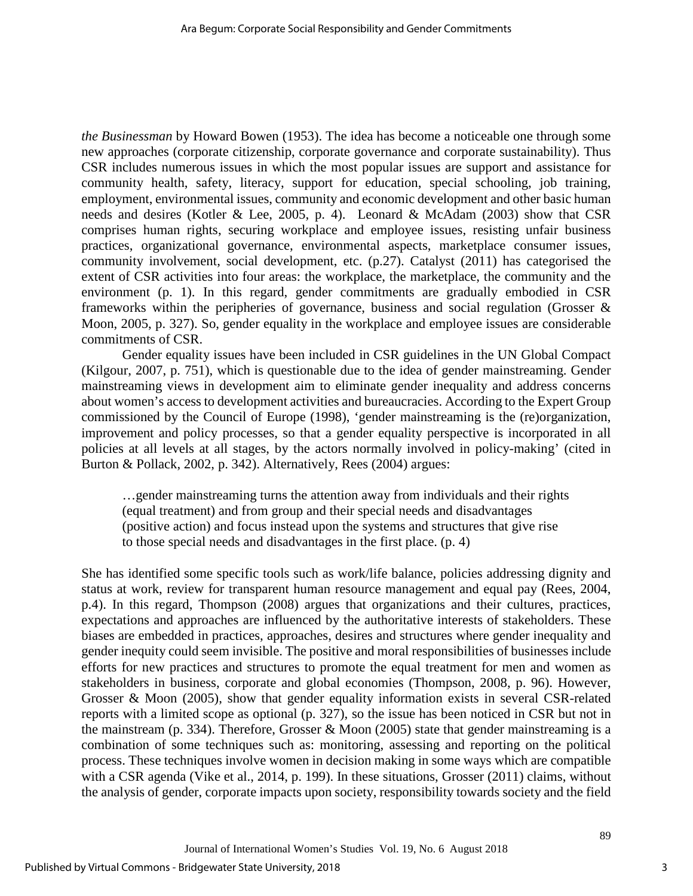*the Businessman* by Howard Bowen (1953). The idea has become a noticeable one through some new approaches (corporate citizenship, corporate governance and corporate sustainability). Thus CSR includes numerous issues in which the most popular issues are support and assistance for community health, safety, literacy, support for education, special schooling, job training, employment, environmental issues, community and economic development and other basic human needs and desires (Kotler & Lee, 2005, p. 4). Leonard & McAdam (2003) show that CSR comprises human rights, securing workplace and employee issues, resisting unfair business practices, organizational governance, environmental aspects, marketplace consumer issues, community involvement, social development, etc. (p.27). Catalyst (2011) has categorised the extent of CSR activities into four areas: the workplace, the marketplace, the community and the environment (p. 1). In this regard, gender commitments are gradually embodied in CSR frameworks within the peripheries of governance, business and social regulation (Grosser & Moon, 2005, p. 327). So, gender equality in the workplace and employee issues are considerable commitments of CSR.

Gender equality issues have been included in CSR guidelines in the UN Global Compact (Kilgour, 2007, p. 751), which is questionable due to the idea of gender mainstreaming. Gender mainstreaming views in development aim to eliminate gender inequality and address concerns about women's access to development activities and bureaucracies. According to the Expert Group commissioned by the Council of Europe (1998), 'gender mainstreaming is the (re)organization, improvement and policy processes, so that a gender equality perspective is incorporated in all policies at all levels at all stages, by the actors normally involved in policy-making' (cited in Burton & Pollack, 2002, p. 342). Alternatively, Rees (2004) argues:

…gender mainstreaming turns the attention away from individuals and their rights (equal treatment) and from group and their special needs and disadvantages (positive action) and focus instead upon the systems and structures that give rise to those special needs and disadvantages in the first place. (p. 4)

She has identified some specific tools such as work/life balance, policies addressing dignity and status at work, review for transparent human resource management and equal pay (Rees, 2004, p.4). In this regard, Thompson (2008) argues that organizations and their cultures, practices, expectations and approaches are influenced by the authoritative interests of stakeholders. These biases are embedded in practices, approaches, desires and structures where gender inequality and gender inequity could seem invisible. The positive and moral responsibilities of businesses include efforts for new practices and structures to promote the equal treatment for men and women as stakeholders in business, corporate and global economies (Thompson, 2008, p. 96). However, Grosser & Moon (2005), show that gender equality information exists in several CSR-related reports with a limited scope as optional (p. 327), so the issue has been noticed in CSR but not in the mainstream (p. 334). Therefore, Grosser & Moon (2005) state that gender mainstreaming is a combination of some techniques such as: monitoring, assessing and reporting on the political process. These techniques involve women in decision making in some ways which are compatible with a CSR agenda (Vike et al., 2014, p. 199). In these situations, Grosser (2011) claims, without the analysis of gender, corporate impacts upon society, responsibility towards society and the field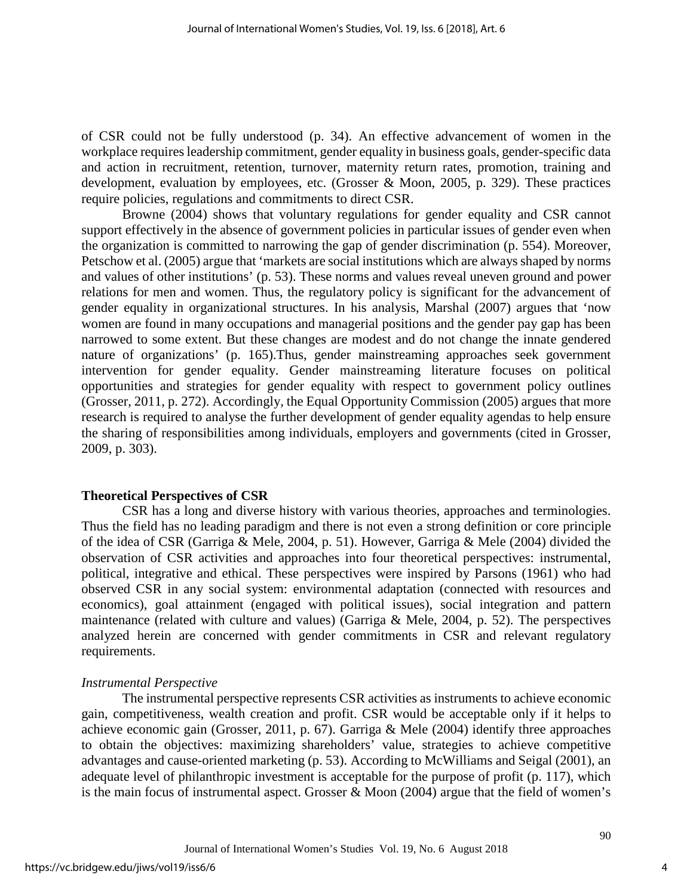of CSR could not be fully understood (p. 34). An effective advancement of women in the workplace requires leadership commitment, gender equality in business goals, gender-specific data and action in recruitment, retention, turnover, maternity return rates, promotion, training and development, evaluation by employees, etc. (Grosser & Moon, 2005, p. 329). These practices require policies, regulations and commitments to direct CSR.

Browne (2004) shows that voluntary regulations for gender equality and CSR cannot support effectively in the absence of government policies in particular issues of gender even when the organization is committed to narrowing the gap of gender discrimination (p. 554). Moreover, Petschow et al. (2005) argue that 'markets are social institutions which are always shaped by norms and values of other institutions' (p. 53). These norms and values reveal uneven ground and power relations for men and women. Thus, the regulatory policy is significant for the advancement of gender equality in organizational structures. In his analysis, Marshal (2007) argues that 'now women are found in many occupations and managerial positions and the gender pay gap has been narrowed to some extent. But these changes are modest and do not change the innate gendered nature of organizations' (p. 165).Thus, gender mainstreaming approaches seek government intervention for gender equality. Gender mainstreaming literature focuses on political opportunities and strategies for gender equality with respect to government policy outlines (Grosser, 2011, p. 272). Accordingly, the Equal Opportunity Commission (2005) argues that more research is required to analyse the further development of gender equality agendas to help ensure the sharing of responsibilities among individuals, employers and governments (cited in Grosser, 2009, p. 303).

#### **Theoretical Perspectives of CSR**

CSR has a long and diverse history with various theories, approaches and terminologies. Thus the field has no leading paradigm and there is not even a strong definition or core principle of the idea of CSR (Garriga & Mele, 2004, p. 51). However, Garriga & Mele (2004) divided the observation of CSR activities and approaches into four theoretical perspectives: instrumental, political, integrative and ethical. These perspectives were inspired by Parsons (1961) who had observed CSR in any social system: environmental adaptation (connected with resources and economics), goal attainment (engaged with political issues), social integration and pattern maintenance (related with culture and values) (Garriga & Mele, 2004, p. 52). The perspectives analyzed herein are concerned with gender commitments in CSR and relevant regulatory requirements.

# *Instrumental Perspective*

The instrumental perspective represents CSR activities as instruments to achieve economic gain, competitiveness, wealth creation and profit. CSR would be acceptable only if it helps to achieve economic gain (Grosser, 2011, p. 67). Garriga & Mele (2004) identify three approaches to obtain the objectives: maximizing shareholders' value, strategies to achieve competitive advantages and cause-oriented marketing (p. 53). According to McWilliams and Seigal (2001), an adequate level of philanthropic investment is acceptable for the purpose of profit (p. 117), which is the main focus of instrumental aspect. Grosser & Moon (2004) argue that the field of women's

4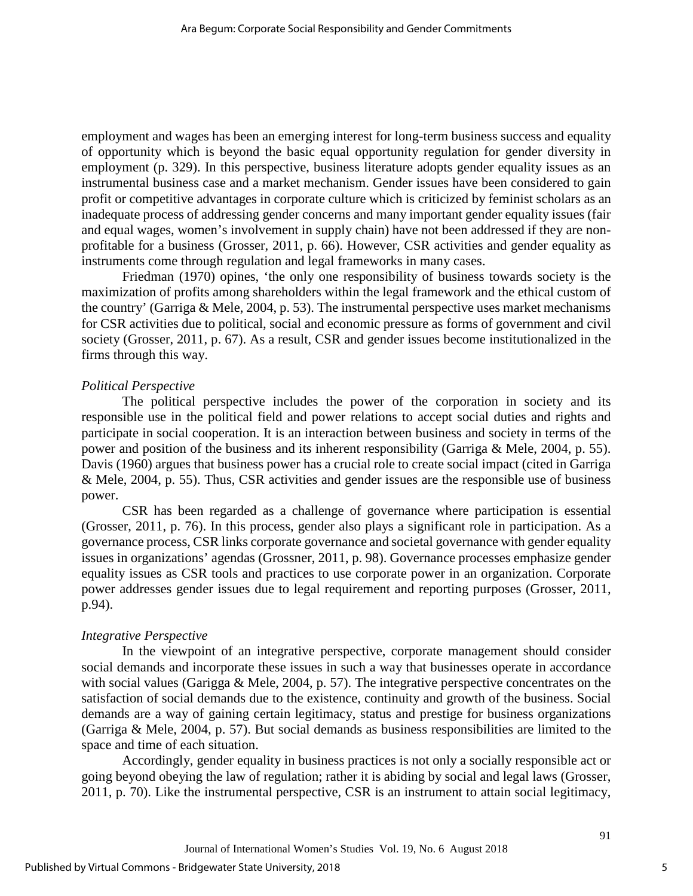employment and wages has been an emerging interest for long-term business success and equality of opportunity which is beyond the basic equal opportunity regulation for gender diversity in employment (p. 329). In this perspective, business literature adopts gender equality issues as an instrumental business case and a market mechanism. Gender issues have been considered to gain profit or competitive advantages in corporate culture which is criticized by feminist scholars as an inadequate process of addressing gender concerns and many important gender equality issues (fair and equal wages, women's involvement in supply chain) have not been addressed if they are nonprofitable for a business (Grosser, 2011, p. 66). However, CSR activities and gender equality as instruments come through regulation and legal frameworks in many cases.

Friedman (1970) opines, 'the only one responsibility of business towards society is the maximization of profits among shareholders within the legal framework and the ethical custom of the country' (Garriga & Mele, 2004, p. 53). The instrumental perspective uses market mechanisms for CSR activities due to political, social and economic pressure as forms of government and civil society (Grosser, 2011, p. 67). As a result, CSR and gender issues become institutionalized in the firms through this way.

#### *Political Perspective*

The political perspective includes the power of the corporation in society and its responsible use in the political field and power relations to accept social duties and rights and participate in social cooperation. It is an interaction between business and society in terms of the power and position of the business and its inherent responsibility (Garriga & Mele, 2004, p. 55). Davis (1960) argues that business power has a crucial role to create social impact (cited in Garriga & Mele, 2004, p. 55). Thus, CSR activities and gender issues are the responsible use of business power.

CSR has been regarded as a challenge of governance where participation is essential (Grosser, 2011, p. 76). In this process, gender also plays a significant role in participation. As a governance process, CSR links corporate governance and societal governance with gender equality issues in organizations' agendas (Grossner, 2011, p. 98). Governance processes emphasize gender equality issues as CSR tools and practices to use corporate power in an organization. Corporate power addresses gender issues due to legal requirement and reporting purposes (Grosser, 2011, p.94).

# *Integrative Perspective*

In the viewpoint of an integrative perspective, corporate management should consider social demands and incorporate these issues in such a way that businesses operate in accordance with social values (Garigga & Mele, 2004, p. 57). The integrative perspective concentrates on the satisfaction of social demands due to the existence, continuity and growth of the business. Social demands are a way of gaining certain legitimacy, status and prestige for business organizations (Garriga & Mele, 2004, p. 57). But social demands as business responsibilities are limited to the space and time of each situation.

Accordingly, gender equality in business practices is not only a socially responsible act or going beyond obeying the law of regulation; rather it is abiding by social and legal laws (Grosser, 2011, p. 70). Like the instrumental perspective, CSR is an instrument to attain social legitimacy,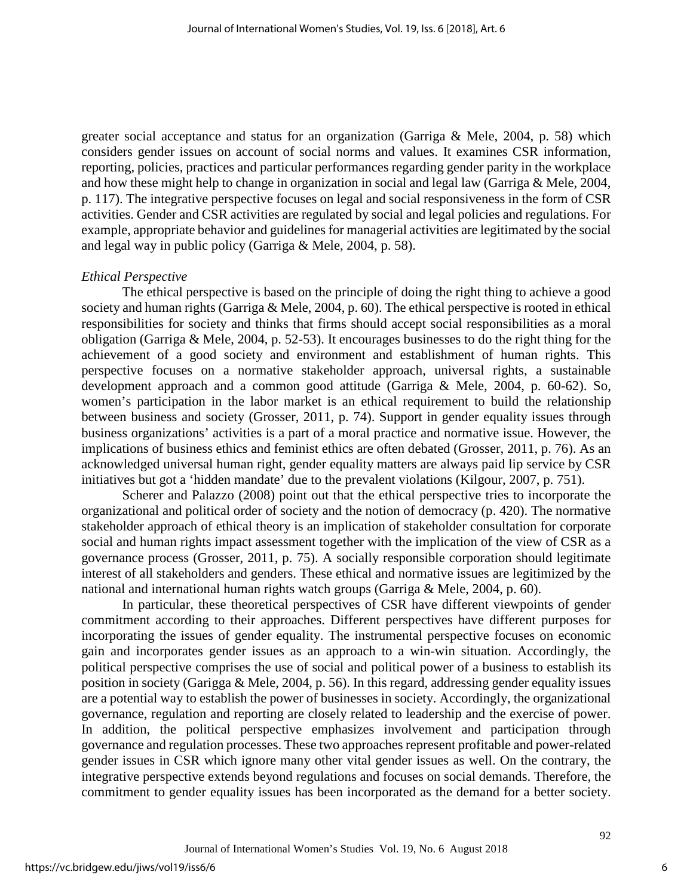greater social acceptance and status for an organization (Garriga & Mele, 2004, p. 58) which considers gender issues on account of social norms and values. It examines CSR information, reporting, policies, practices and particular performances regarding gender parity in the workplace and how these might help to change in organization in social and legal law (Garriga & Mele, 2004, p. 117). The integrative perspective focuses on legal and social responsiveness in the form of CSR activities. Gender and CSR activities are regulated by social and legal policies and regulations. For example, appropriate behavior and guidelines for managerial activities are legitimated by the social and legal way in public policy (Garriga & Mele, 2004, p. 58).

#### *Ethical Perspective*

The ethical perspective is based on the principle of doing the right thing to achieve a good society and human rights (Garriga & Mele, 2004, p. 60). The ethical perspective is rooted in ethical responsibilities for society and thinks that firms should accept social responsibilities as a moral obligation (Garriga & Mele, 2004, p. 52-53). It encourages businesses to do the right thing for the achievement of a good society and environment and establishment of human rights. This perspective focuses on a normative stakeholder approach, universal rights, a sustainable development approach and a common good attitude (Garriga & Mele, 2004, p. 60-62). So, women's participation in the labor market is an ethical requirement to build the relationship between business and society (Grosser, 2011, p. 74). Support in gender equality issues through business organizations' activities is a part of a moral practice and normative issue. However, the implications of business ethics and feminist ethics are often debated (Grosser, 2011, p. 76). As an acknowledged universal human right, gender equality matters are always paid lip service by CSR initiatives but got a 'hidden mandate' due to the prevalent violations (Kilgour, 2007, p. 751).

Scherer and Palazzo (2008) point out that the ethical perspective tries to incorporate the organizational and political order of society and the notion of democracy (p. 420). The normative stakeholder approach of ethical theory is an implication of stakeholder consultation for corporate social and human rights impact assessment together with the implication of the view of CSR as a governance process (Grosser, 2011, p. 75). A socially responsible corporation should legitimate interest of all stakeholders and genders. These ethical and normative issues are legitimized by the national and international human rights watch groups (Garriga & Mele, 2004, p. 60).

In particular, these theoretical perspectives of CSR have different viewpoints of gender commitment according to their approaches. Different perspectives have different purposes for incorporating the issues of gender equality. The instrumental perspective focuses on economic gain and incorporates gender issues as an approach to a win-win situation. Accordingly, the political perspective comprises the use of social and political power of a business to establish its position in society (Garigga & Mele, 2004, p. 56). In this regard, addressing gender equality issues are a potential way to establish the power of businesses in society. Accordingly, the organizational governance, regulation and reporting are closely related to leadership and the exercise of power. In addition, the political perspective emphasizes involvement and participation through governance and regulation processes. These two approaches represent profitable and power-related gender issues in CSR which ignore many other vital gender issues as well. On the contrary, the integrative perspective extends beyond regulations and focuses on social demands. Therefore, the commitment to gender equality issues has been incorporated as the demand for a better society.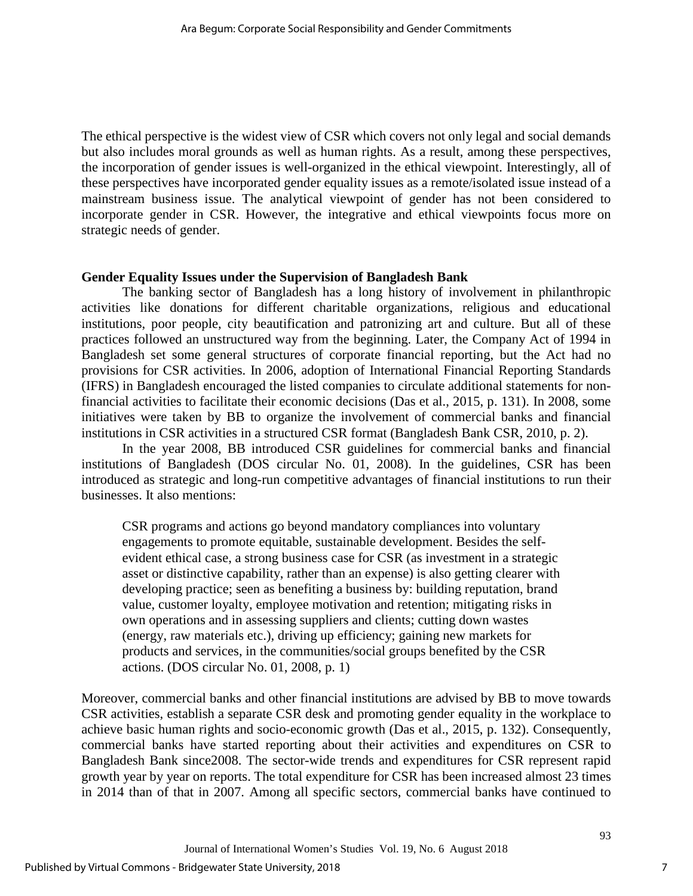The ethical perspective is the widest view of CSR which covers not only legal and social demands but also includes moral grounds as well as human rights. As a result, among these perspectives, the incorporation of gender issues is well-organized in the ethical viewpoint. Interestingly, all of these perspectives have incorporated gender equality issues as a remote/isolated issue instead of a mainstream business issue. The analytical viewpoint of gender has not been considered to incorporate gender in CSR. However, the integrative and ethical viewpoints focus more on strategic needs of gender.

# **Gender Equality Issues under the Supervision of Bangladesh Bank**

The banking sector of Bangladesh has a long history of involvement in philanthropic activities like donations for different charitable organizations, religious and educational institutions, poor people, city beautification and patronizing art and culture. But all of these practices followed an unstructured way from the beginning. Later, the Company Act of 1994 in Bangladesh set some general structures of corporate financial reporting, but the Act had no provisions for CSR activities. In 2006, adoption of International Financial Reporting Standards (IFRS) in Bangladesh encouraged the listed companies to circulate additional statements for nonfinancial activities to facilitate their economic decisions (Das et al., 2015, p. 131). In 2008, some initiatives were taken by BB to organize the involvement of commercial banks and financial institutions in CSR activities in a structured CSR format (Bangladesh Bank CSR, 2010, p. 2).

In the year 2008, BB introduced CSR guidelines for commercial banks and financial institutions of Bangladesh (DOS circular No. 01, 2008). In the guidelines, CSR has been introduced as strategic and long-run competitive advantages of financial institutions to run their businesses. It also mentions:

CSR programs and actions go beyond mandatory compliances into voluntary engagements to promote equitable, sustainable development. Besides the selfevident ethical case, a strong business case for CSR (as investment in a strategic asset or distinctive capability, rather than an expense) is also getting clearer with developing practice; seen as benefiting a business by: building reputation, brand value, customer loyalty, employee motivation and retention; mitigating risks in own operations and in assessing suppliers and clients; cutting down wastes (energy, raw materials etc.), driving up efficiency; gaining new markets for products and services, in the communities/social groups benefited by the CSR actions. (DOS circular No. 01, 2008, p. 1)

Moreover, commercial banks and other financial institutions are advised by BB to move towards CSR activities, establish a separate CSR desk and promoting gender equality in the workplace to achieve basic human rights and socio-economic growth (Das et al., 2015, p. 132). Consequently, commercial banks have started reporting about their activities and expenditures on CSR to Bangladesh Bank since2008. The sector-wide trends and expenditures for CSR represent rapid growth year by year on reports. The total expenditure for CSR has been increased almost 23 times in 2014 than of that in 2007. Among all specific sectors, commercial banks have continued to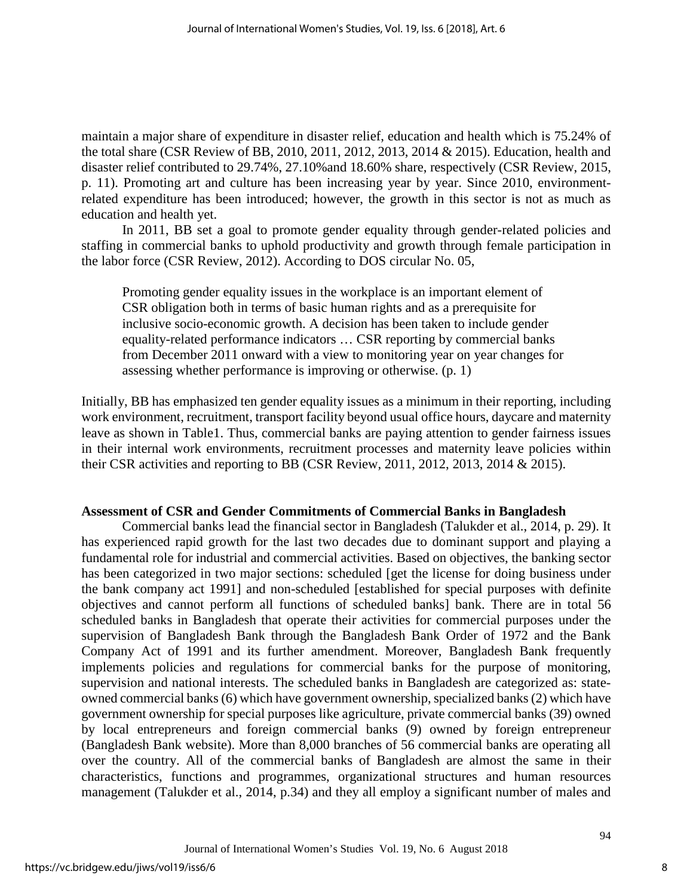maintain a major share of expenditure in disaster relief, education and health which is 75.24% of the total share (CSR Review of BB, 2010, 2011, 2012, 2013, 2014 & 2015). Education, health and disaster relief contributed to 29.74%, 27.10%and 18.60% share, respectively (CSR Review, 2015, p. 11). Promoting art and culture has been increasing year by year. Since 2010, environmentrelated expenditure has been introduced; however, the growth in this sector is not as much as education and health yet.

In 2011, BB set a goal to promote gender equality through gender-related policies and staffing in commercial banks to uphold productivity and growth through female participation in the labor force (CSR Review, 2012). According to DOS circular No. 05,

Promoting gender equality issues in the workplace is an important element of CSR obligation both in terms of basic human rights and as a prerequisite for inclusive socio-economic growth. A decision has been taken to include gender equality-related performance indicators … CSR reporting by commercial banks from December 2011 onward with a view to monitoring year on year changes for assessing whether performance is improving or otherwise. (p. 1)

Initially, BB has emphasized ten gender equality issues as a minimum in their reporting, including work environment, recruitment, transport facility beyond usual office hours, daycare and maternity leave as shown in Table1. Thus, commercial banks are paying attention to gender fairness issues in their internal work environments, recruitment processes and maternity leave policies within their CSR activities and reporting to BB (CSR Review, 2011, 2012, 2013, 2014 & 2015).

#### **Assessment of CSR and Gender Commitments of Commercial Banks in Bangladesh**

Commercial banks lead the financial sector in Bangladesh (Talukder et al., 2014, p. 29). It has experienced rapid growth for the last two decades due to dominant support and playing a fundamental role for industrial and commercial activities. Based on objectives, the banking sector has been categorized in two major sections: scheduled [get the license for doing business under the bank company act 1991] and non-scheduled [established for special purposes with definite objectives and cannot perform all functions of scheduled banks] bank. There are in total 56 scheduled banks in Bangladesh that operate their activities for commercial purposes under the supervision of Bangladesh Bank through the Bangladesh Bank Order of 1972 and the Bank Company Act of 1991 and its further amendment. Moreover, Bangladesh Bank frequently implements policies and regulations for commercial banks for the purpose of monitoring, supervision and national interests. The scheduled banks in Bangladesh are categorized as: stateowned commercial banks (6) which have government ownership, specialized banks (2) which have government ownership for special purposes like agriculture, private commercial banks (39) owned by local entrepreneurs and foreign commercial banks (9) owned by foreign entrepreneur (Bangladesh Bank website). More than 8,000 branches of 56 commercial banks are operating all over the country. All of the commercial banks of Bangladesh are almost the same in their characteristics, functions and programmes, organizational structures and human resources management (Talukder et al., 2014, p.34) and they all employ a significant number of males and

8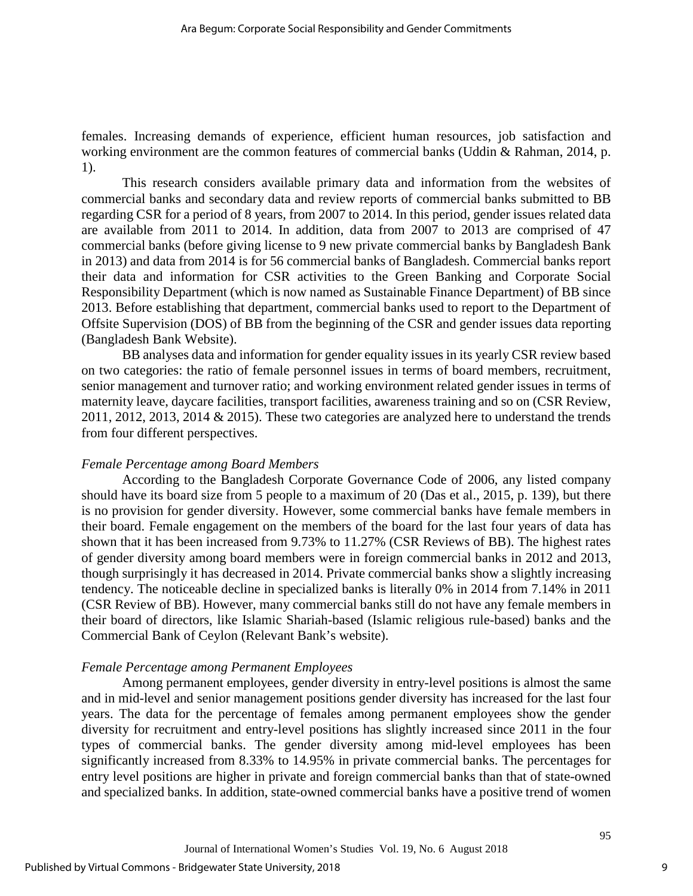females. Increasing demands of experience, efficient human resources, job satisfaction and working environment are the common features of commercial banks (Uddin & Rahman, 2014, p. 1).

This research considers available primary data and information from the websites of commercial banks and secondary data and review reports of commercial banks submitted to BB regarding CSR for a period of 8 years, from 2007 to 2014. In this period, gender issues related data are available from 2011 to 2014. In addition, data from 2007 to 2013 are comprised of 47 commercial banks (before giving license to 9 new private commercial banks by Bangladesh Bank in 2013) and data from 2014 is for 56 commercial banks of Bangladesh. Commercial banks report their data and information for CSR activities to the Green Banking and Corporate Social Responsibility Department (which is now named as Sustainable Finance Department) of BB since 2013. Before establishing that department, commercial banks used to report to the Department of Offsite Supervision (DOS) of BB from the beginning of the CSR and gender issues data reporting (Bangladesh Bank Website).

BB analyses data and information for gender equality issues in its yearly CSR review based on two categories: the ratio of female personnel issues in terms of board members, recruitment, senior management and turnover ratio; and working environment related gender issues in terms of maternity leave, daycare facilities, transport facilities, awareness training and so on (CSR Review, 2011, 2012, 2013, 2014 & 2015). These two categories are analyzed here to understand the trends from four different perspectives.

# *Female Percentage among Board Members*

According to the Bangladesh Corporate Governance Code of 2006, any listed company should have its board size from 5 people to a maximum of 20 (Das et al., 2015, p. 139), but there is no provision for gender diversity. However, some commercial banks have female members in their board. Female engagement on the members of the board for the last four years of data has shown that it has been increased from 9.73% to 11.27% (CSR Reviews of BB). The highest rates of gender diversity among board members were in foreign commercial banks in 2012 and 2013, though surprisingly it has decreased in 2014. Private commercial banks show a slightly increasing tendency. The noticeable decline in specialized banks is literally 0% in 2014 from 7.14% in 2011 (CSR Review of BB). However, many commercial banks still do not have any female members in their board of directors, like Islamic Shariah-based (Islamic religious rule-based) banks and the Commercial Bank of Ceylon (Relevant Bank's website).

# *Female Percentage among Permanent Employees*

Among permanent employees, gender diversity in entry-level positions is almost the same and in mid-level and senior management positions gender diversity has increased for the last four years. The data for the percentage of females among permanent employees show the gender diversity for recruitment and entry-level positions has slightly increased since 2011 in the four types of commercial banks. The gender diversity among mid-level employees has been significantly increased from 8.33% to 14.95% in private commercial banks. The percentages for entry level positions are higher in private and foreign commercial banks than that of state-owned and specialized banks. In addition, state-owned commercial banks have a positive trend of women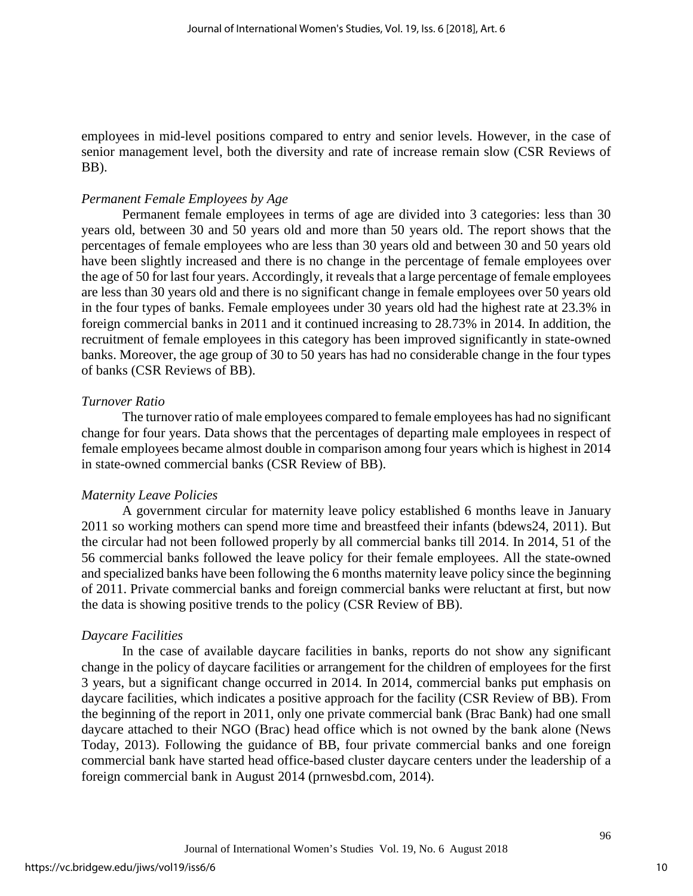employees in mid-level positions compared to entry and senior levels. However, in the case of senior management level, both the diversity and rate of increase remain slow (CSR Reviews of BB).

# *Permanent Female Employees by Age*

Permanent female employees in terms of age are divided into 3 categories: less than 30 years old, between 30 and 50 years old and more than 50 years old. The report shows that the percentages of female employees who are less than 30 years old and between 30 and 50 years old have been slightly increased and there is no change in the percentage of female employees over the age of 50 for last four years. Accordingly, it reveals that a large percentage of female employees are less than 30 years old and there is no significant change in female employees over 50 years old in the four types of banks. Female employees under 30 years old had the highest rate at 23.3% in foreign commercial banks in 2011 and it continued increasing to 28.73% in 2014. In addition, the recruitment of female employees in this category has been improved significantly in state-owned banks. Moreover, the age group of 30 to 50 years has had no considerable change in the four types of banks (CSR Reviews of BB).

#### *Turnover Ratio*

The turnover ratio of male employees compared to female employees has had no significant change for four years. Data shows that the percentages of departing male employees in respect of female employees became almost double in comparison among four years which is highest in 2014 in state-owned commercial banks (CSR Review of BB).

#### *Maternity Leave Policies*

A government circular for maternity leave policy established 6 months leave in January 2011 so working mothers can spend more time and breastfeed their infants (bdews24, 2011). But the circular had not been followed properly by all commercial banks till 2014. In 2014, 51 of the 56 commercial banks followed the leave policy for their female employees. All the state-owned and specialized banks have been following the 6 months maternity leave policy since the beginning of 2011. Private commercial banks and foreign commercial banks were reluctant at first, but now the data is showing positive trends to the policy (CSR Review of BB).

# *Daycare Facilities*

In the case of available daycare facilities in banks, reports do not show any significant change in the policy of daycare facilities or arrangement for the children of employees for the first 3 years, but a significant change occurred in 2014. In 2014, commercial banks put emphasis on daycare facilities, which indicates a positive approach for the facility (CSR Review of BB). From the beginning of the report in 2011, only one private commercial bank (Brac Bank) had one small daycare attached to their NGO (Brac) head office which is not owned by the bank alone (News Today, 2013). Following the guidance of BB, four private commercial banks and one foreign commercial bank have started head office-based cluster daycare centers under the leadership of a foreign commercial bank in August 2014 (prnwesbd.com, 2014).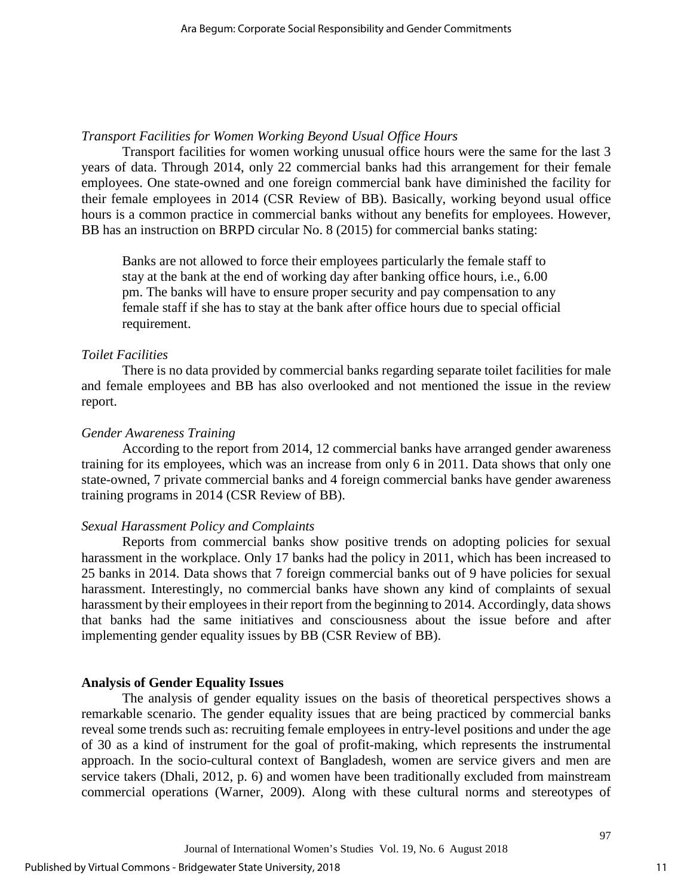# *Transport Facilities for Women Working Beyond Usual Office Hours*

Transport facilities for women working unusual office hours were the same for the last 3 years of data. Through 2014, only 22 commercial banks had this arrangement for their female employees. One state-owned and one foreign commercial bank have diminished the facility for their female employees in 2014 (CSR Review of BB). Basically, working beyond usual office hours is a common practice in commercial banks without any benefits for employees. However, BB has an instruction on BRPD circular No. 8 (2015) for commercial banks stating:

Banks are not allowed to force their employees particularly the female staff to stay at the bank at the end of working day after banking office hours, i.e., 6.00 pm. The banks will have to ensure proper security and pay compensation to any female staff if she has to stay at the bank after office hours due to special official requirement.

# *Toilet Facilities*

There is no data provided by commercial banks regarding separate toilet facilities for male and female employees and BB has also overlooked and not mentioned the issue in the review report.

# *Gender Awareness Training*

According to the report from 2014, 12 commercial banks have arranged gender awareness training for its employees, which was an increase from only 6 in 2011. Data shows that only one state-owned, 7 private commercial banks and 4 foreign commercial banks have gender awareness training programs in 2014 (CSR Review of BB).

# *Sexual Harassment Policy and Complaints*

Reports from commercial banks show positive trends on adopting policies for sexual harassment in the workplace. Only 17 banks had the policy in 2011, which has been increased to 25 banks in 2014. Data shows that 7 foreign commercial banks out of 9 have policies for sexual harassment. Interestingly, no commercial banks have shown any kind of complaints of sexual harassment by their employees in their report from the beginning to 2014. Accordingly, data shows that banks had the same initiatives and consciousness about the issue before and after implementing gender equality issues by BB (CSR Review of BB).

# **Analysis of Gender Equality Issues**

The analysis of gender equality issues on the basis of theoretical perspectives shows a remarkable scenario. The gender equality issues that are being practiced by commercial banks reveal some trends such as: recruiting female employees in entry-level positions and under the age of 30 as a kind of instrument for the goal of profit-making, which represents the instrumental approach. In the socio-cultural context of Bangladesh, women are service givers and men are service takers (Dhali, 2012, p. 6) and women have been traditionally excluded from mainstream commercial operations (Warner, 2009). Along with these cultural norms and stereotypes of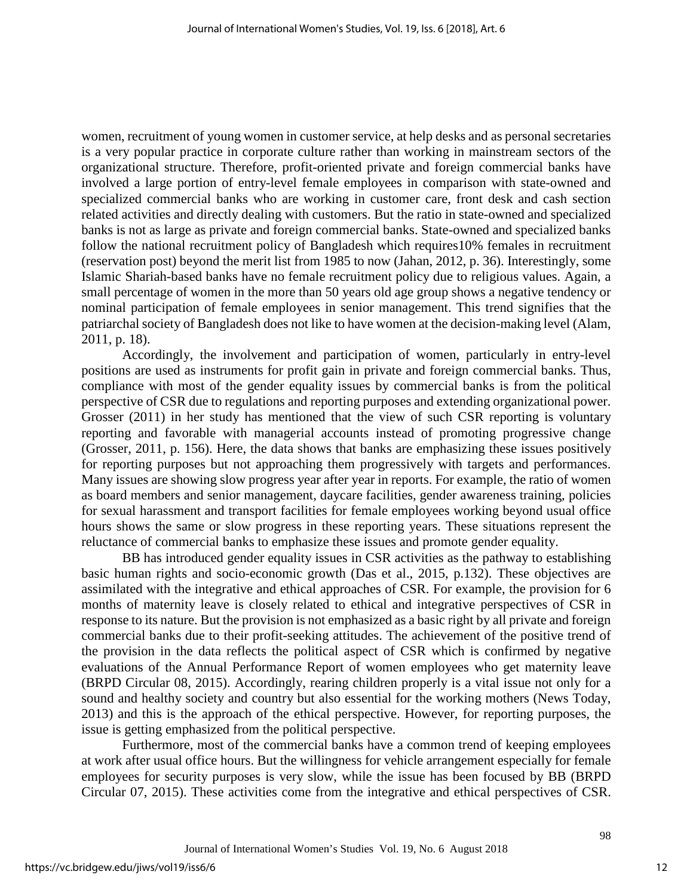women, recruitment of young women in customer service, at help desks and as personal secretaries is a very popular practice in corporate culture rather than working in mainstream sectors of the organizational structure. Therefore, profit-oriented private and foreign commercial banks have involved a large portion of entry-level female employees in comparison with state-owned and specialized commercial banks who are working in customer care, front desk and cash section related activities and directly dealing with customers. But the ratio in state-owned and specialized banks is not as large as private and foreign commercial banks. State-owned and specialized banks follow the national recruitment policy of Bangladesh which requires10% females in recruitment (reservation post) beyond the merit list from 1985 to now (Jahan, 2012, p. 36). Interestingly, some Islamic Shariah-based banks have no female recruitment policy due to religious values. Again, a small percentage of women in the more than 50 years old age group shows a negative tendency or nominal participation of female employees in senior management. This trend signifies that the patriarchal society of Bangladesh does not like to have women at the decision-making level (Alam, 2011, p. 18).

Accordingly, the involvement and participation of women, particularly in entry-level positions are used as instruments for profit gain in private and foreign commercial banks. Thus, compliance with most of the gender equality issues by commercial banks is from the political perspective of CSR due to regulations and reporting purposes and extending organizational power. Grosser (2011) in her study has mentioned that the view of such CSR reporting is voluntary reporting and favorable with managerial accounts instead of promoting progressive change (Grosser, 2011, p. 156). Here, the data shows that banks are emphasizing these issues positively for reporting purposes but not approaching them progressively with targets and performances. Many issues are showing slow progress year after year in reports. For example, the ratio of women as board members and senior management, daycare facilities, gender awareness training, policies for sexual harassment and transport facilities for female employees working beyond usual office hours shows the same or slow progress in these reporting years. These situations represent the reluctance of commercial banks to emphasize these issues and promote gender equality.

BB has introduced gender equality issues in CSR activities as the pathway to establishing basic human rights and socio-economic growth (Das et al., 2015, p.132). These objectives are assimilated with the integrative and ethical approaches of CSR. For example, the provision for 6 months of maternity leave is closely related to ethical and integrative perspectives of CSR in response to its nature. But the provision is not emphasized as a basic right by all private and foreign commercial banks due to their profit-seeking attitudes. The achievement of the positive trend of the provision in the data reflects the political aspect of CSR which is confirmed by negative evaluations of the Annual Performance Report of women employees who get maternity leave (BRPD Circular 08, 2015). Accordingly, rearing children properly is a vital issue not only for a sound and healthy society and country but also essential for the working mothers (News Today, 2013) and this is the approach of the ethical perspective. However, for reporting purposes, the issue is getting emphasized from the political perspective.

Furthermore, most of the commercial banks have a common trend of keeping employees at work after usual office hours. But the willingness for vehicle arrangement especially for female employees for security purposes is very slow, while the issue has been focused by BB (BRPD Circular 07, 2015). These activities come from the integrative and ethical perspectives of CSR.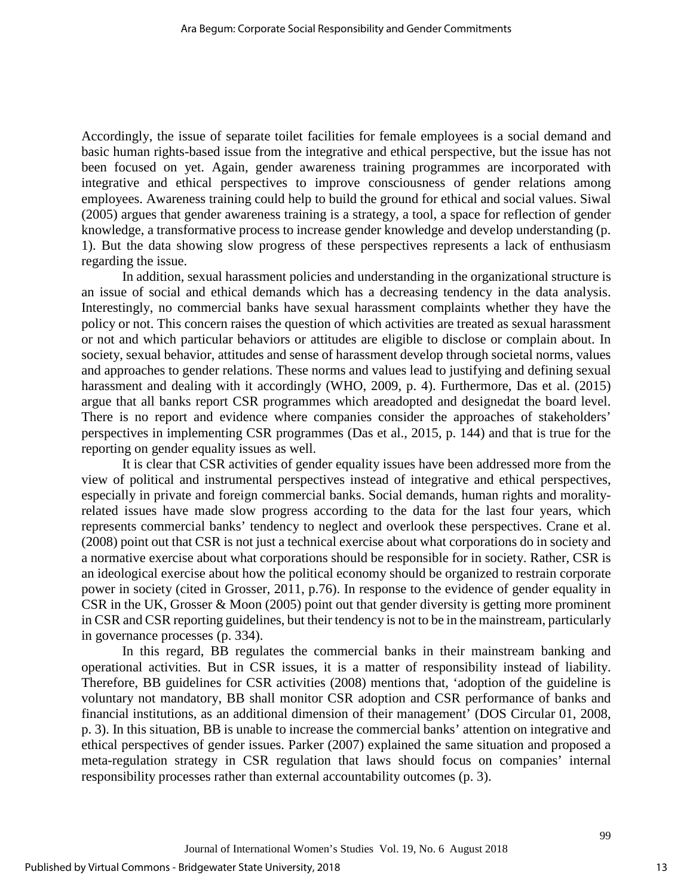Accordingly, the issue of separate toilet facilities for female employees is a social demand and basic human rights-based issue from the integrative and ethical perspective, but the issue has not been focused on yet. Again, gender awareness training programmes are incorporated with integrative and ethical perspectives to improve consciousness of gender relations among employees. Awareness training could help to build the ground for ethical and social values. Siwal (2005) argues that gender awareness training is a strategy, a tool, a space for reflection of gender knowledge, a transformative process to increase gender knowledge and develop understanding (p. 1). But the data showing slow progress of these perspectives represents a lack of enthusiasm regarding the issue.

In addition, sexual harassment policies and understanding in the organizational structure is an issue of social and ethical demands which has a decreasing tendency in the data analysis. Interestingly, no commercial banks have sexual harassment complaints whether they have the policy or not. This concern raises the question of which activities are treated as sexual harassment or not and which particular behaviors or attitudes are eligible to disclose or complain about. In society, sexual behavior, attitudes and sense of harassment develop through societal norms, values and approaches to gender relations. These norms and values lead to justifying and defining sexual harassment and dealing with it accordingly (WHO, 2009, p. 4). Furthermore, Das et al. (2015) argue that all banks report CSR programmes which areadopted and designedat the board level. There is no report and evidence where companies consider the approaches of stakeholders' perspectives in implementing CSR programmes (Das et al., 2015, p. 144) and that is true for the reporting on gender equality issues as well.

It is clear that CSR activities of gender equality issues have been addressed more from the view of political and instrumental perspectives instead of integrative and ethical perspectives, especially in private and foreign commercial banks. Social demands, human rights and moralityrelated issues have made slow progress according to the data for the last four years, which represents commercial banks' tendency to neglect and overlook these perspectives. Crane et al. (2008) point out that CSR is not just a technical exercise about what corporations do in society and a normative exercise about what corporations should be responsible for in society. Rather, CSR is an ideological exercise about how the political economy should be organized to restrain corporate power in society (cited in Grosser, 2011, p.76). In response to the evidence of gender equality in CSR in the UK, Grosser & Moon (2005) point out that gender diversity is getting more prominent in CSR and CSR reporting guidelines, but their tendency is not to be in the mainstream, particularly in governance processes (p. 334).

In this regard, BB regulates the commercial banks in their mainstream banking and operational activities. But in CSR issues, it is a matter of responsibility instead of liability. Therefore, BB guidelines for CSR activities (2008) mentions that, 'adoption of the guideline is voluntary not mandatory, BB shall monitor CSR adoption and CSR performance of banks and financial institutions, as an additional dimension of their management' (DOS Circular 01, 2008, p. 3). In this situation, BB is unable to increase the commercial banks' attention on integrative and ethical perspectives of gender issues. Parker (2007) explained the same situation and proposed a meta-regulation strategy in CSR regulation that laws should focus on companies' internal responsibility processes rather than external accountability outcomes (p. 3).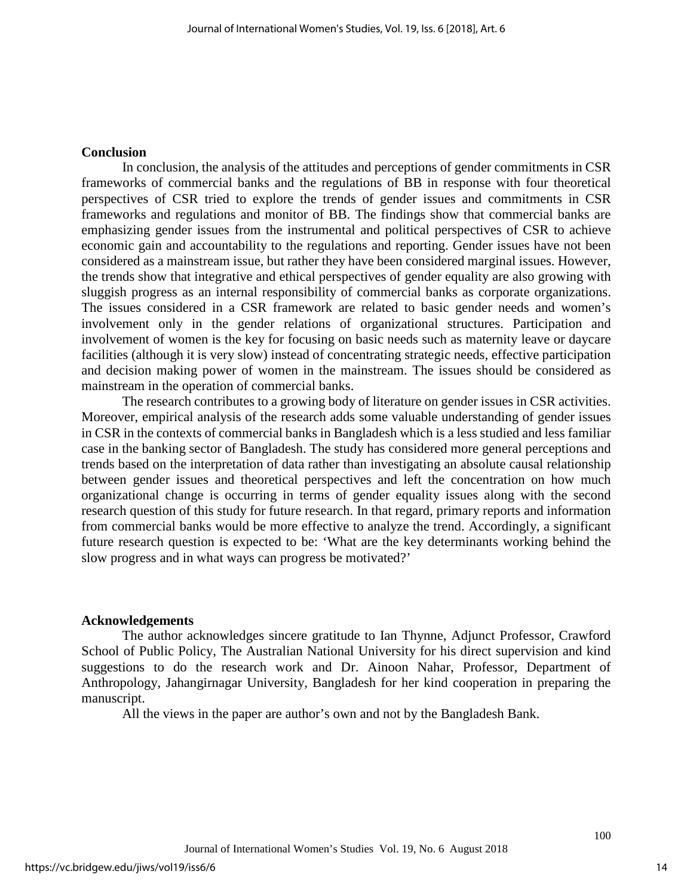#### **Conclusion**

In conclusion, the analysis of the attitudes and perceptions of gender commitments in CSR frameworks of commercial banks and the regulations of BB in response with four theoretical perspectives of CSR tried to explore the trends of gender issues and commitments in CSR frameworks and regulations and monitor of BB. The findings show that commercial banks are emphasizing gender issues from the instrumental and political perspectives of CSR to achieve economic gain and accountability to the regulations and reporting. Gender issues have not been considered as a mainstream issue, but rather they have been considered marginal issues. However, the trends show that integrative and ethical perspectives of gender equality are also growing with sluggish progress as an internal responsibility of commercial banks as corporate organizations. The issues considered in a CSR framework are related to basic gender needs and women's involvement only in the gender relations of organizational structures. Participation and involvement of women is the key for focusing on basic needs such as maternity leave or daycare facilities (although it is very slow) instead of concentrating strategic needs, effective participation and decision making power of women in the mainstream. The issues should be considered as mainstream in the operation of commercial banks.

The research contributes to a growing body of literature on gender issues in CSR activities. Moreover, empirical analysis of the research adds some valuable understanding of gender issues in CSR in the contexts of commercial banks in Bangladesh which is a less studied and less familiar case in the banking sector of Bangladesh. The study has considered more general perceptions and trends based on the interpretation of data rather than investigating an absolute causal relationship between gender issues and theoretical perspectives and left the concentration on how much organizational change is occurring in terms of gender equality issues along with the second research question of this study for future research. In that regard, primary reports and information from commercial banks would be more effective to analyze the trend. Accordingly, a significant future research question is expected to be: 'What are the key determinants working behind the slow progress and in what ways can progress be motivated?'

#### **Acknowledgements**

The author acknowledges sincere gratitude to Ian Thynne, Adjunct Professor, Crawford School of Public Policy, The Australian National University for his direct supervision and kind suggestions to do the research work and Dr. Ainoon Nahar, Professor, Department of Anthropology, Jahangirnagar University, Bangladesh for her kind cooperation in preparing the manuscript.

All the views in the paper are author's own and not by the Bangladesh Bank.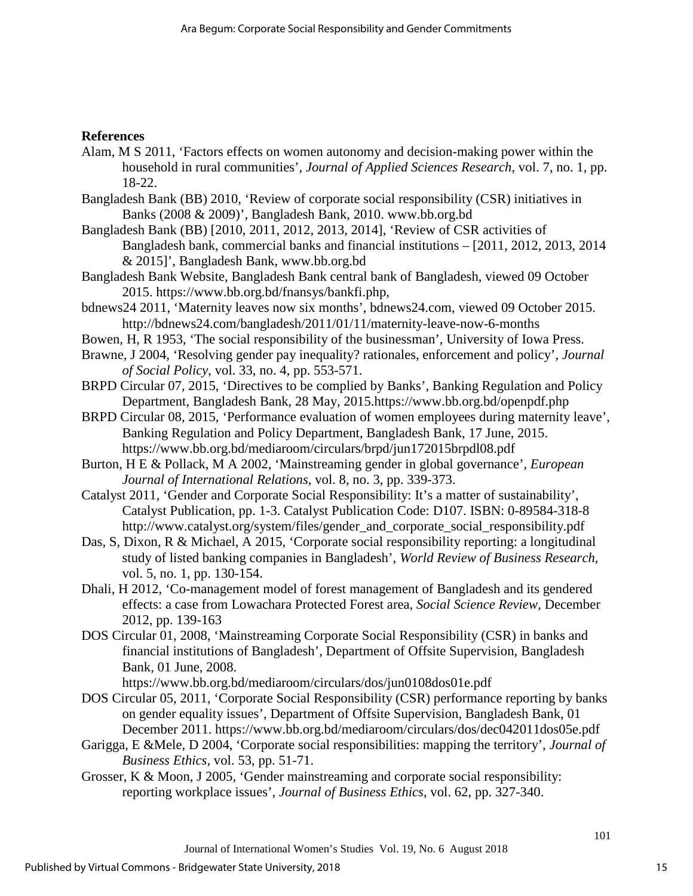# **References**

- Alam, M S 2011, 'Factors effects on women autonomy and decision-making power within the household in rural communities', *Journal of Applied Sciences Research*, vol. 7, no. 1, pp. 18-22.
- Bangladesh Bank (BB) 2010, 'Review of corporate social responsibility (CSR) initiatives in Banks (2008 & 2009)', Bangladesh Bank, 2010. www.bb.org.bd
- Bangladesh Bank (BB) [2010, 2011, 2012, 2013, 2014], 'Review of CSR activities of Bangladesh bank, commercial banks and financial institutions – [2011, 2012, 2013, 2014 & 2015]', Bangladesh Bank, www.bb.org.bd
- Bangladesh Bank Website, Bangladesh Bank central bank of Bangladesh, viewed 09 October 2015. https://www.bb.org.bd/fnansys/bankfi.php,
- bdnews24 2011, 'Maternity leaves now six months', bdnews24.com, viewed 09 October 2015. http://bdnews24.com/bangladesh/2011/01/11/maternity-leave-now-6-months
- Bowen, H, R 1953, 'The social responsibility of the businessman', University of Iowa Press.
- Brawne, J 2004, 'Resolving gender pay inequality? rationales, enforcement and policy', *Journal of Social Policy*, vol. 33, no. 4, pp. 553-571.
- BRPD Circular 07, 2015, 'Directives to be complied by Banks', Banking Regulation and Policy Department, Bangladesh Bank, 28 May, 2015.https://www.bb.org.bd/openpdf.php
- BRPD Circular 08, 2015, 'Performance evaluation of women employees during maternity leave', Banking Regulation and Policy Department, Bangladesh Bank, 17 June, 2015. https://www.bb.org.bd/mediaroom/circulars/brpd/jun172015brpdl08.pdf
- Burton, H E & Pollack, M A 2002, 'Mainstreaming gender in global governance', *European Journal of International Relations*, vol. 8, no. 3, pp. 339-373.
- Catalyst 2011, 'Gender and Corporate Social Responsibility: It's a matter of sustainability', Catalyst Publication, pp. 1-3. Catalyst Publication Code: D107. ISBN: 0-89584-318-8 http://www.catalyst.org/system/files/gender\_and\_corporate\_social\_responsibility.pdf
- Das, S, Dixon, R & Michael, A 2015, 'Corporate social responsibility reporting: a longitudinal study of listed banking companies in Bangladesh', *World Review of Business Research*, vol. 5, no. 1, pp. 130-154.
- Dhali, H 2012, 'Co-management model of forest management of Bangladesh and its gendered effects: a case from Lowachara Protected Forest area, *Social Science Review*, December 2012, pp. 139-163
- DOS Circular 01, 2008, 'Mainstreaming Corporate Social Responsibility (CSR) in banks and financial institutions of Bangladesh', Department of Offsite Supervision, Bangladesh Bank, 01 June, 2008.

https://www.bb.org.bd/mediaroom/circulars/dos/jun0108dos01e.pdf

- DOS Circular 05, 2011, 'Corporate Social Responsibility (CSR) performance reporting by banks on gender equality issues', Department of Offsite Supervision, Bangladesh Bank, 01 December 2011. https://www.bb.org.bd/mediaroom/circulars/dos/dec042011dos05e.pdf
- Garigga, E &Mele, D 2004, 'Corporate social responsibilities: mapping the territory', *Journal of Business Ethics,* vol. 53, pp. 51-71.
- Grosser, K & Moon, J 2005, 'Gender mainstreaming and corporate social responsibility: reporting workplace issues', *Journal of Business Ethics*, vol. 62, pp. 327-340.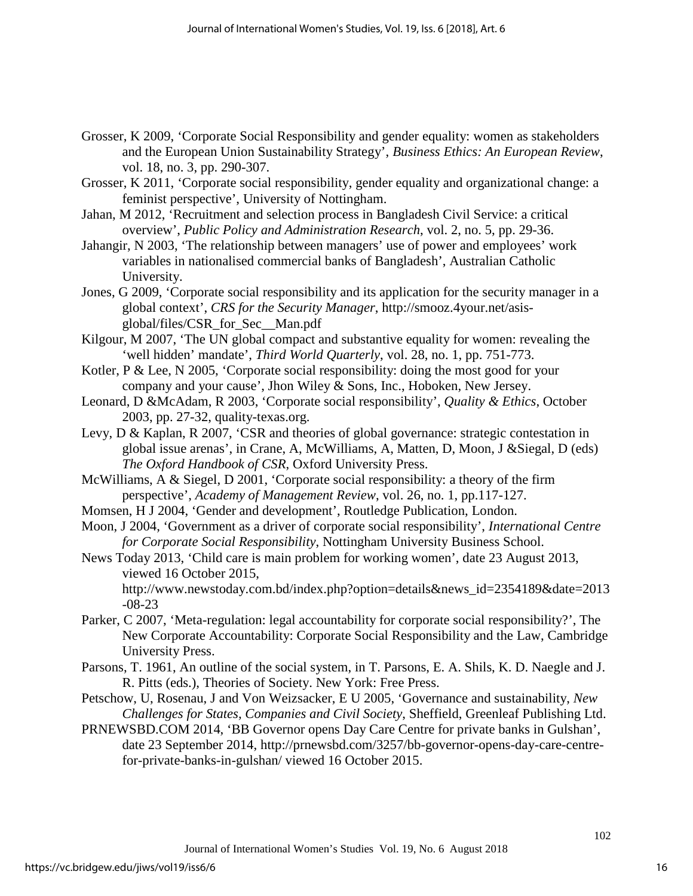- Grosser, K 2009, 'Corporate Social Responsibility and gender equality: women as stakeholders and the European Union Sustainability Strategy', *Business Ethics: An European Review*, vol. 18, no. 3, pp. 290-307.
- Grosser, K 2011, 'Corporate social responsibility, gender equality and organizational change: a feminist perspective', University of Nottingham.
- Jahan, M 2012, 'Recruitment and selection process in Bangladesh Civil Service: a critical overview', *Public Policy and Administration Research*, vol. 2, no. 5, pp. 29-36.
- Jahangir, N 2003, 'The relationship between managers' use of power and employees' work variables in nationalised commercial banks of Bangladesh', Australian Catholic University.
- Jones, G 2009, 'Corporate social responsibility and its application for the security manager in a global context', *CRS for the Security Manager*, http://smooz.4your.net/asisglobal/files/CSR\_for\_Sec\_\_Man.pdf
- Kilgour, M 2007, 'The UN global compact and substantive equality for women: revealing the 'well hidden' mandate', *Third World Quarterly*, vol. 28, no. 1, pp. 751-773.
- Kotler, P & Lee, N 2005, 'Corporate social responsibility: doing the most good for your company and your cause', Jhon Wiley & Sons, Inc., Hoboken, New Jersey.
- Leonard, D &McAdam, R 2003, 'Corporate social responsibility', *Quality & Ethics*, October 2003, pp. 27-32, quality-texas.org.
- Levy, D & Kaplan, R 2007, 'CSR and theories of global governance: strategic contestation in global issue arenas', in Crane, A, McWilliams, A, Matten, D, Moon, J &Siegal, D (eds) *The Oxford Handbook of CSR*, Oxford University Press.
- McWilliams, A & Siegel, D 2001, 'Corporate social responsibility: a theory of the firm perspective', *Academy of Management Review*, vol. 26, no. 1, pp.117-127.
- Momsen, H J 2004, 'Gender and development', Routledge Publication, London.
- Moon, J 2004, 'Government as a driver of corporate social responsibility', *International Centre for Corporate Social Responsibility*, Nottingham University Business School.
- News Today 2013, 'Child care is main problem for working women', date 23 August 2013, viewed 16 October 2015, http://www.newstoday.com.bd/index.php?option=details&news\_id=2354189&date=2013

-08-23

- Parker, C 2007, 'Meta-regulation: legal accountability for corporate social responsibility?', The New Corporate Accountability: Corporate Social Responsibility and the Law, Cambridge University Press.
- Parsons, T. 1961, An outline of the social system, in T. Parsons, E. A. Shils, K. D. Naegle and J. R. Pitts (eds.), Theories of Society. New York: Free Press.
- Petschow, U, Rosenau, J and Von Weizsacker, E U 2005, 'Governance and sustainability, *New Challenges for States, Companies and Civil Society*, Sheffield, Greenleaf Publishing Ltd.
- PRNEWSBD.COM 2014, 'BB Governor opens Day Care Centre for private banks in Gulshan', date 23 September 2014, http://prnewsbd.com/3257/bb-governor-opens-day-care-centrefor-private-banks-in-gulshan/ viewed 16 October 2015.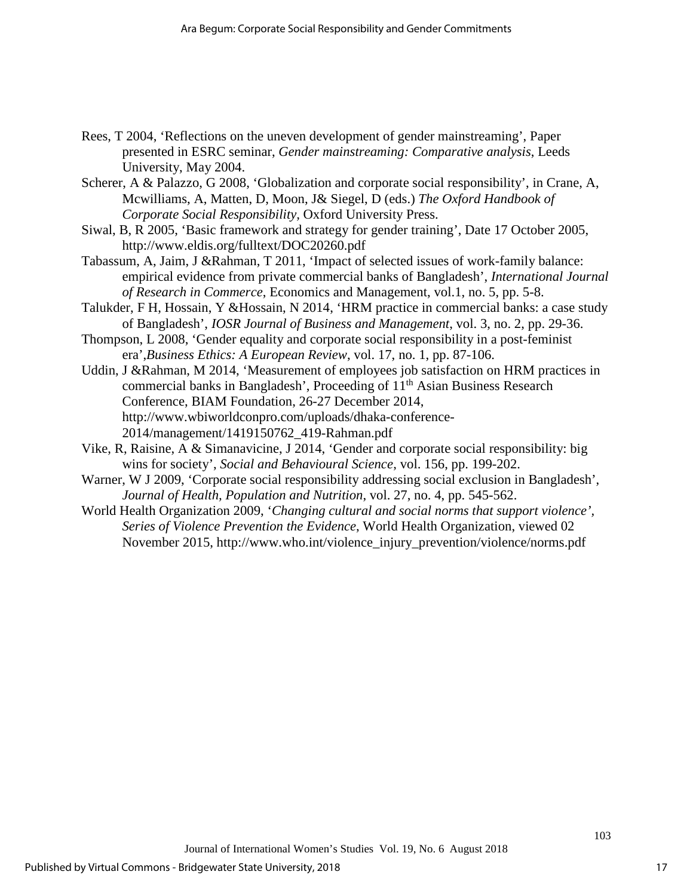- Rees, T 2004, 'Reflections on the uneven development of gender mainstreaming', Paper presented in ESRC seminar, *Gender mainstreaming: Comparative analysis*, Leeds University, May 2004.
- Scherer, A & Palazzo, G 2008, 'Globalization and corporate social responsibility', in Crane, A, Mcwilliams, A, Matten, D, Moon, J& Siegel, D (eds.) *The Oxford Handbook of Corporate Social Responsibility,* Oxford University Press.
- Siwal, B, R 2005, 'Basic framework and strategy for gender training', Date 17 October 2005, http://www.eldis.org/fulltext/DOC20260.pdf
- Tabassum, A, Jaim, J &Rahman, T 2011, 'Impact of selected issues of work-family balance: empirical evidence from private commercial banks of Bangladesh', *International Journal of Research in Commerce*, Economics and Management, vol.1, no. 5, pp. 5-8.
- Talukder, F H, Hossain, Y &Hossain, N 2014, 'HRM practice in commercial banks: a case study of Bangladesh', *IOSR Journal of Business and Management*, vol. 3, no. 2, pp. 29-36.
- Thompson, L 2008, 'Gender equality and corporate social responsibility in a post-feminist era',*Business Ethics: A European Review*, vol. 17, no. 1, pp. 87-106.
- Uddin, J &Rahman, M 2014, 'Measurement of employees job satisfaction on HRM practices in commercial banks in Bangladesh', Proceeding of 11<sup>th</sup> Asian Business Research Conference, BIAM Foundation, 26-27 December 2014, http://www.wbiworldconpro.com/uploads/dhaka-conference-2014/management/1419150762\_419-Rahman.pdf
- Vike, R, Raisine, A & Simanavicine, J 2014, 'Gender and corporate social responsibility: big wins for society', *Social and Behavioural Science*, vol. 156, pp. 199-202.
- Warner, W J 2009, 'Corporate social responsibility addressing social exclusion in Bangladesh', *Journal of Health, Population and Nutrition*, vol. 27, no. 4, pp. 545-562.
- World Health Organization 2009, '*Changing cultural and social norms that support violence', Series of Violence Prevention the Evidence*, World Health Organization, viewed 02 November 2015, http://www.who.int/violence\_injury\_prevention/violence/norms.pdf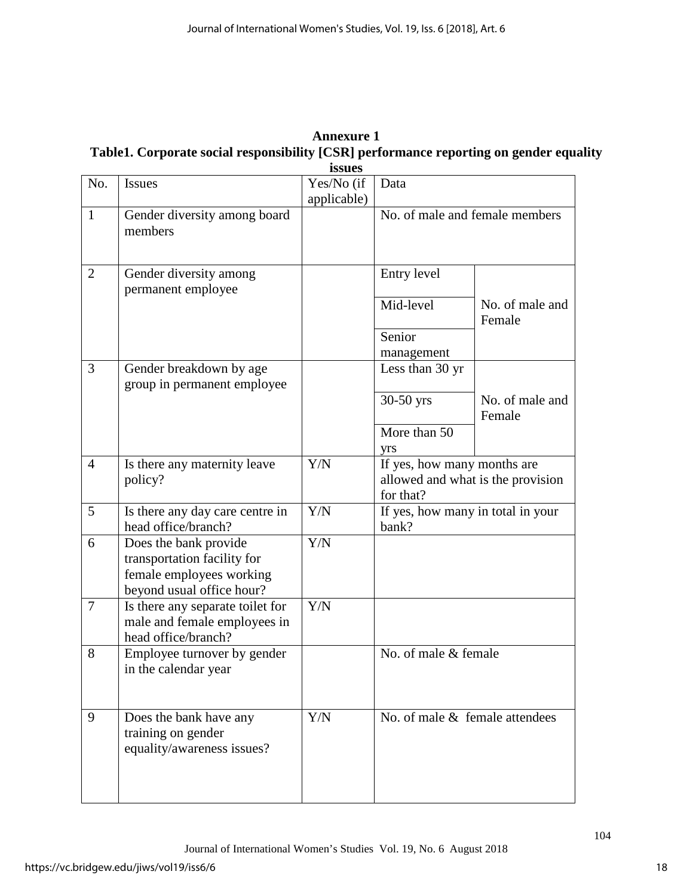#### **Annexure 1 Table1. Corporate social responsibility [CSR] performance reporting on gender equality issues**

| No.            | <b>Issues</b>                                                                                                 | Yes/No (if  | Data                                                                          |                           |
|----------------|---------------------------------------------------------------------------------------------------------------|-------------|-------------------------------------------------------------------------------|---------------------------|
| $\mathbf{1}$   | Gender diversity among board<br>members                                                                       | applicable) | No. of male and female members                                                |                           |
|                |                                                                                                               |             |                                                                               |                           |
| $\overline{2}$ | Gender diversity among<br>permanent employee                                                                  |             | Entry level                                                                   |                           |
|                |                                                                                                               |             | Mid-level                                                                     | No. of male and<br>Female |
|                |                                                                                                               |             | Senior<br>management                                                          |                           |
| 3              | Gender breakdown by age<br>group in permanent employee                                                        |             | Less than 30 yr                                                               |                           |
|                |                                                                                                               |             | $30-50$ yrs                                                                   | No. of male and<br>Female |
|                |                                                                                                               |             | More than 50<br>yrs                                                           |                           |
| $\overline{4}$ | Is there any maternity leave<br>policy?                                                                       | Y/N         | If yes, how many months are<br>allowed and what is the provision<br>for that? |                           |
| 5              | Is there any day care centre in<br>head office/branch?                                                        | Y/N         | If yes, how many in total in your<br>bank?                                    |                           |
| 6              | Does the bank provide<br>transportation facility for<br>female employees working<br>beyond usual office hour? | Y/N         |                                                                               |                           |
| $\tau$         | Is there any separate toilet for<br>male and female employees in<br>head office/branch?                       | Y/N         |                                                                               |                           |
| 8              | Employee turnover by gender<br>in the calendar year                                                           |             | No. of male & female                                                          |                           |
| 9              | Does the bank have any<br>training on gender<br>equality/awareness issues?                                    | Y/N         | No. of male & female attendees                                                |                           |